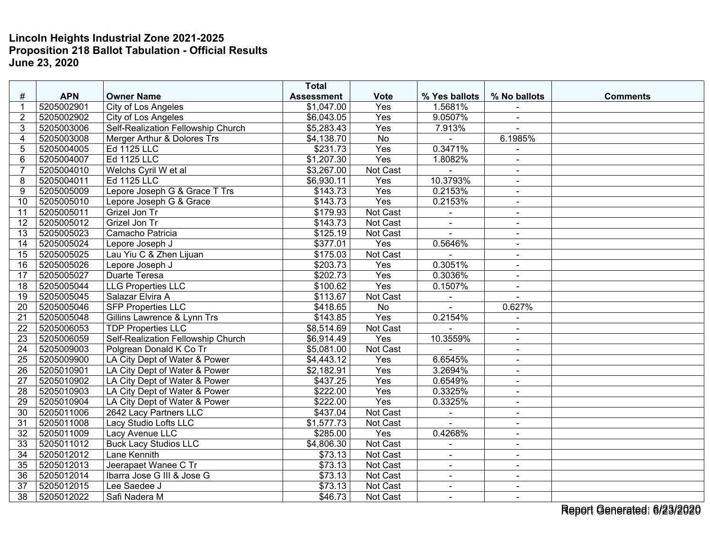|                 |            |                                           | <b>Total</b>      |                  |                |                |                 |
|-----------------|------------|-------------------------------------------|-------------------|------------------|----------------|----------------|-----------------|
| #               | <b>APN</b> | <b>Owner Name</b>                         | <b>Assessment</b> | <b>Vote</b>      | % Yes ballots  | % No ballots   | <b>Comments</b> |
| 1               | 5205002901 | City of Los Angeles                       | \$1,047.00        | Yes              | 1.5681%        |                |                 |
| $\overline{2}$  | 5205002902 | City of Los Angeles                       | \$6,043.05        | Yes              | 9.0507%        | $\sim$         |                 |
| 3               | 5205003006 | <b>Self-Realization Fellowship Church</b> | \$5,283.43        | $\overline{Yes}$ | 7.913%         |                |                 |
| $\overline{4}$  | 5205003008 | Merger Arthur & Dolores Trs               | \$4,138.70        | <b>No</b>        |                | 6.1985%        |                 |
| 5               | 5205004005 | Ed 1125 LLC                               | \$231.73          | Yes              | 0.3471%        | $\sim$         |                 |
| 6               | 5205004007 | <b>Ed 1125 LLC</b>                        | \$1,207.30        | Yes              | 1.8082%        | $\sim$         |                 |
| $\overline{7}$  | 5205004010 | Welchs Cyril W et al                      | \$3,267.00        | Not Cast         |                |                |                 |
| 8               | 5205004011 | Ed 1125 LLC                               | \$6,930.11        | Yes              | 10.3793%       | $\blacksquare$ |                 |
| 9               | 5205005009 | Lepore Joseph G & Grace T Trs             | \$143.73          | Yes              | 0.2153%        | $\blacksquare$ |                 |
| 10              | 5205005010 | Lepore Joseph G & Grace                   | \$143.73          | Yes              | 0.2153%        | $\sim$         |                 |
| 11              | 5205005011 | Grizel Jon Tr                             | \$179.93          | <b>Not Cast</b>  |                | $\blacksquare$ |                 |
| 12              | 5205005012 | Grizel Jon Tr                             | \$143.73          | Not Cast         | $\blacksquare$ | $\blacksquare$ |                 |
| 13              | 5205005023 | Camacho Patricia                          | \$125.19          | Not Cast         |                | $\sim$         |                 |
| 14              | 5205005024 | Lepore Joseph J                           | \$377.01          | Yes              | 0.5646%        | $\sim$         |                 |
| 15              | 5205005025 | Lau Yiu C & Zhen Lijuan                   | \$175.03          | Not Cast         |                | $\blacksquare$ |                 |
| 16              | 5205005026 | Lepore Joseph J                           | \$203.73          | Yes              | 0.3051%        | $\blacksquare$ |                 |
| 17              | 5205005027 | <b>Duarte Teresa</b>                      | \$202.73          | Yes              | 0.3036%        | $\blacksquare$ |                 |
| 18              | 5205005044 | <b>LLG</b> Properties LLC                 | \$100.62          | Yes              | 0.1507%        | $\blacksquare$ |                 |
| 19              | 5205005045 | Salazar Elvira A                          | \$113.67          | Not Cast         | $\overline{a}$ | $\sim$         |                 |
| 20              | 5205005046 | <b>SFP Properties LLC</b>                 | \$418.65          | <b>No</b>        |                | 0.627%         |                 |
| 21              | 5205005048 | Gillins Lawrence & Lynn Trs               | \$143.85          | Yes              | 0.2154%        |                |                 |
| 22              | 5205006053 | <b>TDP Properties LLC</b>                 | \$8,514.69        | Not Cast         |                | $\blacksquare$ |                 |
| 23              | 5205006059 | Self-Realization Fellowship Church        | \$6,914.49        | Yes              | 10.3559%       | $\blacksquare$ |                 |
| 24              | 5205009003 | Polgrean Donald K Co Tr                   | \$5,081.00        | Not Cast         |                | $\blacksquare$ |                 |
| 25              | 5205009900 | LA City Dept of Water & Power             | \$4,443.12        | Yes              | 6.6545%        | $\blacksquare$ |                 |
| 26              | 5205010901 | LA City Dept of Water & Power             | \$2,182.91        | Yes              | 3.2694%        | $\sim$         |                 |
| 27              | 5205010902 | LA City Dept of Water & Power             | \$437.25          | Yes              | 0.6549%        |                |                 |
| 28              | 5205010903 | LA City Dept of Water & Power             | \$222.00          | Yes              | 0.3325%        | $\blacksquare$ |                 |
| 29              | 5205010904 | LA City Dept of Water & Power             | \$222.00          | Yes              | 0.3325%        | $\sim$         |                 |
| 30              | 5205011006 | 2642 Lacy Partners LLC                    | \$437.04          | Not Cast         | ÷,             | $\blacksquare$ |                 |
| 31              | 5205011008 | Lacy Studio Lofts LLC                     | \$1,577.73        | Not Cast         |                |                |                 |
| 32              | 5205011009 | Lacy Avenue LLC                           | \$285.00          | Yes              | 0.4268%        | $\sim$         |                 |
| $\overline{33}$ | 5205011012 | <b>Buck Lacy Studios LLC</b>              | \$4,806.30        | Not Cast         | $\overline{a}$ | $\blacksquare$ |                 |
| 34              | 5205012012 | Lane Kennith                              | \$73.13           | Not Cast         |                | $\blacksquare$ |                 |
| 35              | 5205012013 | Jeerapaet Wanee C Tr                      | \$73.13           | Not Cast         | $\blacksquare$ | $\sim$         |                 |
| $\overline{36}$ | 5205012014 | Ibarra Jose G III & Jose G                | \$73.13           | Not Cast         | $\blacksquare$ | $\blacksquare$ |                 |
| 37              | 5205012015 | Lee Saedee J                              | \$73.13           | Not Cast         | $\blacksquare$ | $\blacksquare$ |                 |
| 38              | 5205012022 | Safi Nadera M                             | \$46.73           | Not Cast         | $\blacksquare$ | $\sim$         |                 |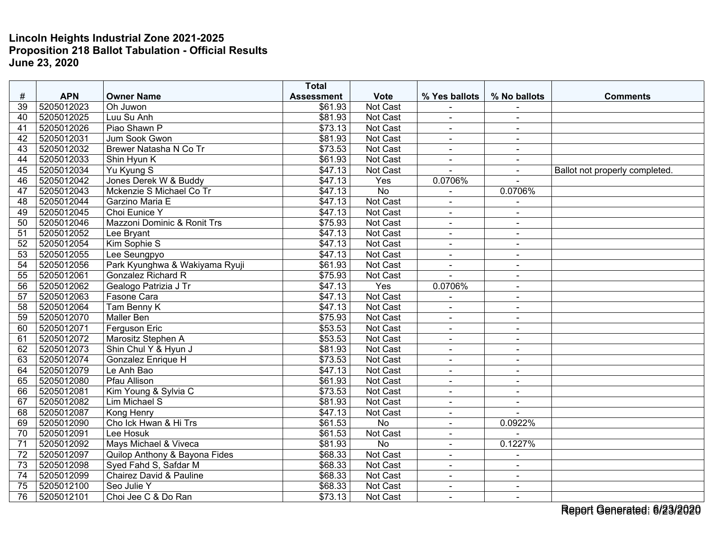|                 |            |                                    | <b>Total</b>      |                 |                              |                |                                |
|-----------------|------------|------------------------------------|-------------------|-----------------|------------------------------|----------------|--------------------------------|
| #               | <b>APN</b> | <b>Owner Name</b>                  | <b>Assessment</b> | <b>Vote</b>     | % Yes ballots                | % No ballots   | <b>Comments</b>                |
| 39              | 5205012023 | Oh Juwon                           | \$61.93           | Not Cast        |                              |                |                                |
| 40              | 5205012025 | Luu Su Anh                         | \$81.93           | <b>Not Cast</b> | $\blacksquare$               | $\sim$         |                                |
| 41              | 5205012026 | Piao Shawn P                       | \$73.13           | Not Cast        | $\blacksquare$               |                |                                |
| 42              | 5205012031 | Jum Sook Gwon                      | \$81.93           | Not Cast        | $\blacksquare$               | $\sim$         |                                |
| 43              | 5205012032 | Brewer Natasha N Co Tr             | \$73.53           | <b>Not Cast</b> | $\blacksquare$               | $\sim$         |                                |
| 44              | 5205012033 | Shin Hyun K                        | \$61.93           | Not Cast        | $\blacksquare$               | $\blacksquare$ |                                |
| 45              | 5205012034 | Yu Kyung S                         | \$47.13           | Not Cast        |                              | $\sim$         | Ballot not properly completed. |
| 46              | 5205012042 | Jones Derek W & Buddy              | \$47.13           | Yes             | 0.0706%                      | $\sim$         |                                |
| $\overline{47}$ | 5205012043 | Mckenzie S Michael Co Tr           | \$47.13           | $\overline{No}$ |                              | 0.0706%        |                                |
| 48              | 5205012044 | Garzino Maria E                    | \$47.13           | Not Cast        | $\blacksquare$               |                |                                |
| 49              | 5205012045 | Choi Eunice Y                      | \$47.13           | Not Cast        | $\blacksquare$               | $\sim$         |                                |
| 50              | 5205012046 | Mazzoni Dominic & Ronit Trs        | \$75.93           | Not Cast        | $\overline{a}$               | $\sim$         |                                |
| 51              | 5205012052 | Lee Bryant                         | \$47.13           | Not Cast        | $\blacksquare$               | $\blacksquare$ |                                |
| 52              | 5205012054 | Kim Sophie S                       | \$47.13           | <b>Not Cast</b> | L.                           | $\overline{a}$ |                                |
| 53              | 5205012055 | Lee Seungpyo                       | \$47.13           | Not Cast        | $\blacksquare$               | $\blacksquare$ |                                |
| 54              | 5205012056 | Park Kyunghwa & Wakiyama Ryuji     | \$61.93           | Not Cast        | $\blacksquare$               | $\sim$         |                                |
| 55              | 5205012061 | <b>Gonzalez Richard R</b>          | \$75.93           | Not Cast        |                              | $\blacksquare$ |                                |
| $\overline{56}$ | 5205012062 | Gealogo Patrizia J Tr              | \$47.13           | Yes             | 0.0706%                      | $\sim$         |                                |
| 57              | 5205012063 | Fasone Cara                        | \$47.13           | Not Cast        | $\blacksquare$               | $\sim$         |                                |
| $\overline{58}$ | 5205012064 | Tam Benny K                        | $\sqrt{$47.13}$   | Not Cast        |                              | $\sim$         |                                |
| $\overline{59}$ | 5205012070 | <b>Maller Ben</b>                  | \$75.93           | Not Cast        | $\overline{a}$               | $\sim$         |                                |
| 60              | 5205012071 | Ferguson Eric                      | \$53.53           | Not Cast        | $\blacksquare$               | $\sim$         |                                |
| 61              | 5205012072 | Marositz Stephen A                 | \$53.53           | <b>Not Cast</b> | $\blacksquare$               | $\sim$         |                                |
| 62              | 5205012073 | Shin Chul Y & Hyun J               | \$81.93           | Not Cast        | $\blacksquare$               | $\blacksquare$ |                                |
| 63              | 5205012074 | Gonzalez Enrique H                 | \$73.53           | Not Cast        | $\blacksquare$               | $\sim$         |                                |
| 64              | 5205012079 | Le Anh Bao                         | \$47.13           | Not Cast        | $\blacksquare$               | $\sim$         |                                |
| 65              | 5205012080 | <b>Pfau Allison</b>                | \$61.93           | Not Cast        | $\blacksquare$               | $\sim$         |                                |
| 66              | 5205012081 | Kim Young & Sylvia C               | \$73.53           | Not Cast        |                              | $\sim$         |                                |
| 67              | 5205012082 | <b>Lim Michael S</b>               | \$81.93           | Not Cast        | $\blacksquare$               | $\sim$         |                                |
| 68              | 5205012087 | <b>Kong Henry</b>                  | \$47.13           | Not Cast        | $\blacksquare$               | $\overline{a}$ |                                |
| 69              | 5205012090 | Cho Ick Hwan & Hi Trs              | \$61.53           | <b>No</b>       | $\blacksquare$               | 0.0922%        |                                |
| 70              | 5205012091 | Lee Hosuk                          | \$61.53           | Not Cast        | $\qquad \qquad \blacksquare$ |                |                                |
| 71              | 5205012092 | Mays Michael & Viveca              | \$81.93           | $\overline{No}$ | $\blacksquare$               | 0.1227%        |                                |
| 72              | 5205012097 | Quilop Anthony & Bayona Fides      | \$68.33           | Not Cast        | $\blacksquare$               | $\sim$         |                                |
| 73              | 5205012098 | Syed Fahd S, Safdar M              | \$68.33           | Not Cast        | $\blacksquare$               | $\blacksquare$ |                                |
| 74              | 5205012099 | <b>Chairez David &amp; Pauline</b> | \$68.33           | Not Cast        | $\blacksquare$               | $\sim$         |                                |
| 75              | 5205012100 | Seo Julie Y                        | \$68.33           | Not Cast        | $\blacksquare$               | $\sim$         |                                |
| 76              | 5205012101 | Choi Jee C & Do Ran                | \$73.13           | Not Cast        | $\blacksquare$               | $\sim$         |                                |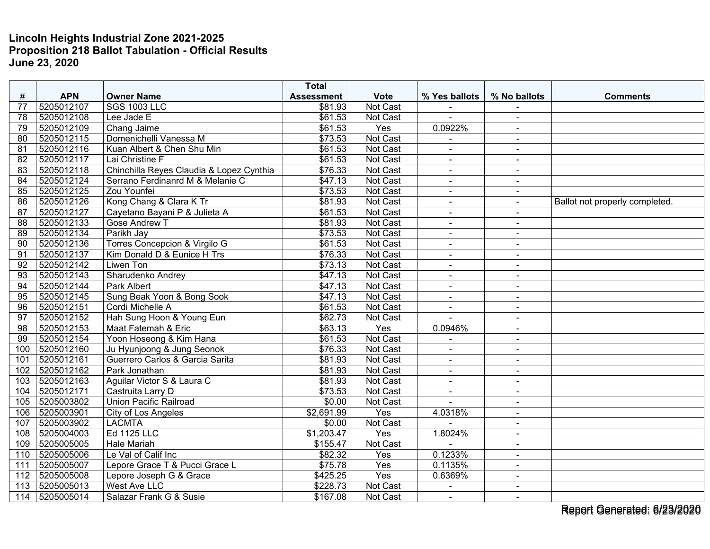|                 |            |                                          | <b>Total</b>      |                  |                          |                      |                                |
|-----------------|------------|------------------------------------------|-------------------|------------------|--------------------------|----------------------|--------------------------------|
| #               | <b>APN</b> | <b>Owner Name</b>                        | <b>Assessment</b> | <b>Vote</b>      | % Yes ballots            | % No ballots         | <b>Comments</b>                |
| 77              | 5205012107 | <b>SGS 1003 LLC</b>                      | \$81.93           | Not Cast         |                          |                      |                                |
| 78              | 5205012108 | Lee Jade E                               | \$61.53           | <b>Not Cast</b>  | $\overline{a}$           | $\blacksquare$       |                                |
| 79              | 5205012109 | Chang Jaime                              | \$61.53           | Yes              | 0.0922%                  | $\blacksquare$       |                                |
| 80              | 5205012115 | Domenichelli Vanessa M                   | \$73.53           | Not Cast         |                          | $\blacksquare$       |                                |
| 81              | 5205012116 | Kuan Albert & Chen Shu Min               | \$61.53           | <b>Not Cast</b>  | $\blacksquare$           | $\sim$               |                                |
| 82              | 5205012117 | Lai Christine F                          | \$61.53           | Not Cast         | $\blacksquare$           | $\blacksquare$       |                                |
| 83              | 5205012118 | Chinchilla Reyes Claudia & Lopez Cynthia | \$76.33           | Not Cast         | $\overline{a}$           | $\ddot{\phantom{1}}$ |                                |
| 84              | 5205012124 | Serrano Ferdinanrd M & Melanie C         | \$47.13           | <b>Not Cast</b>  | $\blacksquare$           | $\sim$               |                                |
| 85              | 5205012125 | Zou Younfei                              | \$73.53           | Not Cast         | $\blacksquare$           | $\blacksquare$       |                                |
| 86              | 5205012126 | Kong Chang & Clara K Tr                  | \$81.93           | Not Cast         | $\blacksquare$           | $\sim$               | Ballot not properly completed. |
| 87              | 5205012127 | Cayetano Bayani P & Julieta A            | \$61.53           | Not Cast         | $\blacksquare$           | $\blacksquare$       |                                |
| $\overline{88}$ | 5205012133 | <b>Gose Andrew T</b>                     | \$81.93           | <b>Not Cast</b>  | $\blacksquare$           | $\sim$               |                                |
| 89              | 5205012134 | Parikh Jay                               | \$73.53           | Not Cast         | $\blacksquare$           | $\blacksquare$       |                                |
| 90              | 5205012136 | <b>Torres Concepcion &amp; Virgilo G</b> | \$61.53           | Not Cast         | ä,                       |                      |                                |
| 91              | 5205012137 | Kim Donald D & Eunice H Trs              | \$76.33           | <b>Not Cast</b>  | $\blacksquare$           | $\sim$               |                                |
| 92              | 5205012142 | Liwen Ton                                | \$73.13           | Not Cast         | $\blacksquare$           | $\blacksquare$       |                                |
| 93              | 5205012143 | Sharudenko Andrey                        | \$47.13           | Not Cast         | $\blacksquare$           | $\sim$               |                                |
| 94              | 5205012144 | Park Albert                              | \$47.13           | Not Cast         | $\blacksquare$           | $\ddot{\phantom{1}}$ |                                |
| 95              | 5205012145 | Sung Beak Yoon & Bong Sook               | \$47.13           | Not Cast         | $\blacksquare$           | $\sim$               |                                |
| 96              | 5205012151 | Cordi Michelle A                         | \$61.53           | <b>Not Cast</b>  | $\ddot{\phantom{1}}$     | $\blacksquare$       |                                |
| 97              | 5205012152 | Hah Sung Hoon & Young Eun                | \$62.73           | Not Cast         |                          |                      |                                |
| 98              | 5205012153 | Maat Fatemah & Eric                      | \$63.13           | Yes              | 0.0946%                  | $\blacksquare$       |                                |
| 99              | 5205012154 | Yoon Hoseong & Kim Hana                  | \$61.53           | Not Cast         | $\blacksquare$           | $\blacksquare$       |                                |
| 100             | 5205012160 | Ju Hyunjoong & Jung Seonok               | \$76.33           | Not Cast         | $\blacksquare$           | $\sim$               |                                |
| 101             | 5205012161 | Guerrero Carlos & Garcia Sarita          | \$81.93           | Not Cast         | $\blacksquare$           |                      |                                |
| 102             | 5205012162 | Park Jonathan                            | \$81.93           | Not Cast         | $\overline{\phantom{a}}$ | $\sim$               |                                |
| 103             | 5205012163 | Aguilar Victor S & Laura C               | \$81.93           | Not Cast         | $\ddot{\phantom{1}}$     | $\sim$               |                                |
| 104             | 5205012171 | Castruita Larry D                        | \$73.53           | Not Cast         |                          | $\blacksquare$       |                                |
| 105             | 5205003802 | <b>Union Pacific Railroad</b>            | \$0.00            | <b>Not Cast</b>  | $\overline{a}$           | $\blacksquare$       |                                |
| 106             | 5205003901 | City of Los Angeles                      | \$2,691.99        | Yes              | 4.0318%                  | $\blacksquare$       |                                |
| 107             | 5205003902 | <b>LACMTA</b>                            | \$0.00            | Not Cast         |                          | $\sim$               |                                |
| 108             | 5205004003 | Ed 1125 LLC                              | \$1,203.47        | Yes              | 1.8024%                  | $\blacksquare$       |                                |
| 109             | 5205005005 | <b>Hale Mariah</b>                       | \$155.47          | Not Cast         | $\sim$                   | $\blacksquare$       |                                |
| 110             | 5205005006 | Le Val of Calif Inc                      | \$82.32           | Yes              | 0.1233%                  | $\sim$               |                                |
| 111             | 5205005007 | Lepore Grace T & Pucci Grace L           | \$75.78           | Yes              | 0.1135%                  | $\blacksquare$       |                                |
| 112             | 5205005008 | Lepore Joseph G & Grace                  | \$425.25          | $\overline{Yes}$ | 0.6369%                  | $\blacksquare$       |                                |
| 113             | 5205005013 | West Ave LLC                             | \$228.73          | Not Cast         | $\mathbf{r}$             | $\sim$               |                                |
| 114             | 5205005014 | Salazar Frank G & Susie                  | \$167.08          | Not Cast         | $\blacksquare$           | $\sim$               |                                |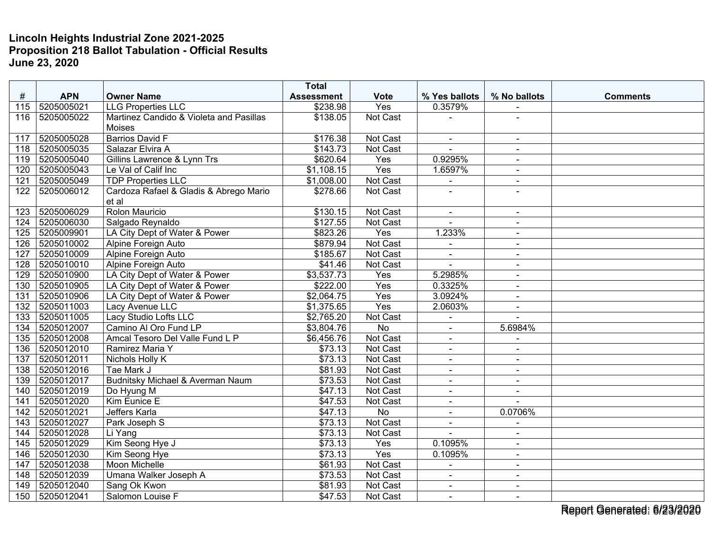| #                | <b>APN</b> | <b>Owner Name</b>                       | <b>Total</b>                  | <b>Vote</b>     | % Yes ballots  | % No ballots   | <b>Comments</b> |
|------------------|------------|-----------------------------------------|-------------------------------|-----------------|----------------|----------------|-----------------|
| 115              | 5205005021 | <b>LLG Properties LLC</b>               | <b>Assessment</b><br>\$238.98 | Yes             | 0.3579%        |                |                 |
| 116              | 5205005022 | Martinez Candido & Violeta and Pasillas | \$138.05                      | Not Cast        |                |                |                 |
|                  |            | <b>Moises</b>                           |                               |                 |                |                |                 |
| 117              | 5205005028 | <b>Barrios David F</b>                  | \$176.38                      | Not Cast        | $\blacksquare$ | $\blacksquare$ |                 |
| 118              | 5205005035 | Salazar Elvira A                        | \$143.73                      | Not Cast        | $\sim$         | $\sim$         |                 |
| 119              | 5205005040 | Gillins Lawrence & Lynn Trs             | \$620.64                      | Yes             | 0.9295%        | $\sim$         |                 |
| 120              | 5205005043 | Le Val of Calif Inc                     | \$1,108.15                    | Yes             | 1.6597%        | $\sim$         |                 |
| 121              | 5205005049 | <b>TDP Properties LLC</b>               | \$1,008.00                    | Not Cast        |                | $\sim$         |                 |
| 122              | 5205006012 | Cardoza Rafael & Gladis & Abrego Mario  | \$278.66                      | Not Cast        |                |                |                 |
|                  |            | et al                                   |                               |                 |                |                |                 |
| 123              | 5205006029 | Rolon Mauricio                          | \$130.15                      | Not Cast        | $\blacksquare$ | $\blacksquare$ |                 |
| 124              | 5205006030 | Salgado Reynaldo                        | \$127.55                      | Not Cast        |                | $\blacksquare$ |                 |
| 125              | 5205009901 | LA City Dept of Water & Power           | \$823.26                      | Yes             | 1.233%         | $\sim$         |                 |
| 126              | 5205010002 | Alpine Foreign Auto                     | \$879.94                      | Not Cast        |                |                |                 |
| 127              | 5205010009 | Alpine Foreign Auto                     | \$185.67                      | Not Cast        | $\blacksquare$ | $\blacksquare$ |                 |
| 128              | 5205010010 | Alpine Foreign Auto                     | \$41.46                       | Not Cast        | $\sim$         | $\sim$         |                 |
| 129              | 5205010900 | LA City Dept of Water & Power           | \$3,537.73                    | Yes             | 5.2985%        | $\blacksquare$ |                 |
| 130              | 5205010905 | LA City Dept of Water & Power           | \$222.00                      | Yes             | 0.3325%        | $\blacksquare$ |                 |
| 131              | 5205010906 | LA City Dept of Water & Power           | \$2,064.75                    | Yes             | 3.0924%        | $\sim$         |                 |
| 132              | 5205011003 | Lacy Avenue LLC                         | \$1,375.65                    | Yes             | 2.0603%        | $\blacksquare$ |                 |
| 133              | 5205011005 | Lacy Studio Lofts LLC                   | \$2,765.20                    | <b>Not Cast</b> |                |                |                 |
| 134              | 5205012007 | Camino Al Oro Fund LP                   | \$3,804.76                    | No              | $\overline{a}$ | 5.6984%        |                 |
| 135              | 5205012008 | Amcal Tesoro Del Valle Fund L P         | \$6,456.76                    | Not Cast        | $\sim$         | $\sim$         |                 |
| 136              | 5205012010 | Ramirez Maria Y                         | $\overline{$}73.13$           | Not Cast        | $\blacksquare$ | $\blacksquare$ |                 |
| $13\overline{7}$ | 5205012011 | Nichols Holly K                         | \$73.13                       | Not Cast        | $\overline{a}$ | $\blacksquare$ |                 |
| 138              | 5205012016 | Tae Mark J                              | \$81.93                       | Not Cast        | $\blacksquare$ | $\blacksquare$ |                 |
| 139              | 5205012017 | Budnitsky Michael & Averman Naum        | \$73.53                       | Not Cast        | $\blacksquare$ | $\blacksquare$ |                 |
| 140              | 5205012019 | Do Hyung M                              | \$47.13                       | Not Cast        | $\overline{a}$ |                |                 |
| 141              | 5205012020 | Kim Eunice E                            | \$47.53                       | Not Cast        | $\blacksquare$ | $\overline{a}$ |                 |
| 142              | 5205012021 | Jeffers Karla                           | \$47.13                       | No              | $\blacksquare$ | 0.0706%        |                 |
| 143              | 5205012027 | Park Joseph S                           | \$73.13                       | Not Cast        | $\blacksquare$ |                |                 |
| 144              | 5205012028 | $\overline{Li}$ Yang                    | \$73.13                       | Not Cast        |                | $\blacksquare$ |                 |
| 145              | 5205012029 | Kim Seong Hye J                         | \$73.13                       | Yes             | 0.1095%        | $\sim$         |                 |
| 146              | 5205012030 | Kim Seong Hye                           | \$73.13                       | Yes             | 0.1095%        | $\blacksquare$ |                 |
| 147              | 5205012038 | Moon Michelle                           | \$61.93                       | Not Cast        |                |                |                 |
| 148              | 5205012039 | Umana Walker Joseph A                   | \$73.53                       | Not Cast        | $\sim$         | $\sim$         |                 |
| 149              | 5205012040 | Sang Ok Kwon                            | \$81.93                       | Not Cast        | $\blacksquare$ | $\blacksquare$ |                 |
| 150              | 5205012041 | Salomon Louise F                        | \$47.53                       | Not Cast        | $\sim$         | $\sim$         |                 |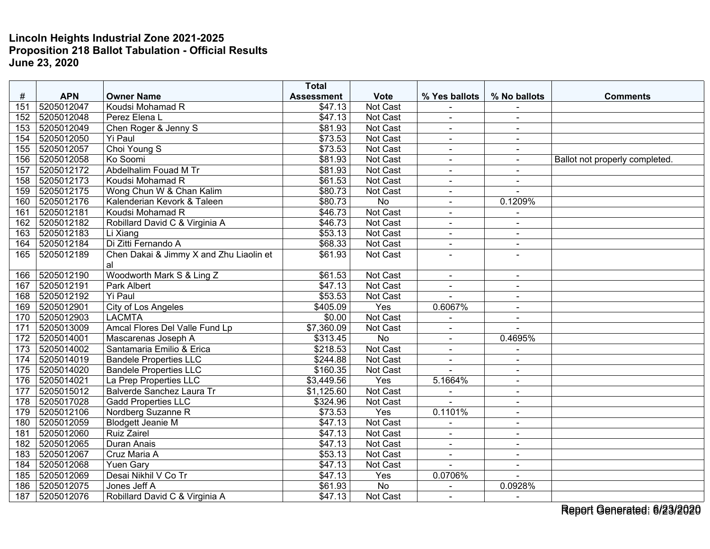|     |            |                                         | <b>Total</b>        |                 |                          |                          |                                |
|-----|------------|-----------------------------------------|---------------------|-----------------|--------------------------|--------------------------|--------------------------------|
| #   | <b>APN</b> | <b>Owner Name</b>                       | <b>Assessment</b>   | <b>Vote</b>     | % Yes ballots            | % No ballots             | <b>Comments</b>                |
| 151 | 5205012047 | Koudsi Mohamad R                        | \$47.13             | Not Cast        |                          |                          |                                |
| 152 | 5205012048 | Perez Elena L                           | \$47.13             | <b>Not Cast</b> | $\blacksquare$           | $\sim$                   |                                |
| 153 | 5205012049 | Chen Roger & Jenny S                    | \$81.93             | Not Cast        | $\blacksquare$           | $\overline{\phantom{a}}$ |                                |
| 154 | 5205012050 | <b>Yi Paul</b>                          | \$73.53             | Not Cast        | $\blacksquare$           | $\sim$                   |                                |
| 155 | 5205012057 | Choi Young S                            | \$73.53             | Not Cast        | $\blacksquare$           | $\blacksquare$           |                                |
| 156 | 5205012058 | Ko Soomi                                | \$81.93             | Not Cast        | $\blacksquare$           | $\sim$                   | Ballot not properly completed. |
| 157 | 5205012172 | Abdelhalim Fouad M Tr                   | \$81.93             | Not Cast        |                          |                          |                                |
| 158 | 5205012173 | Koudsi Mohamad R                        | \$61.53             | Not Cast        | $\overline{a}$           | $\overline{\phantom{a}}$ |                                |
| 159 | 5205012175 | Wong Chun W & Chan Kalim                | \$80.73             | Not Cast        | $\blacksquare$           | $\overline{a}$           |                                |
| 160 | 5205012176 | Kalenderian Kevork & Taleen             | \$80.73             | No              | $\blacksquare$           | 0.1209%                  |                                |
| 161 | 5205012181 | Koudsi Mohamad R                        | \$46.73             | Not Cast        | ä,                       |                          |                                |
| 162 | 5205012182 | Robillard David C & Virginia A          | \$46.73             | Not Cast        | $\blacksquare$           | $\blacksquare$           |                                |
| 163 | 5205012183 | Li Xiang                                | \$53.13             | Not Cast        | $\blacksquare$           | $\sim$                   |                                |
| 164 | 5205012184 | Di Zitti Fernando A                     | \$68.33             | Not Cast        | $\blacksquare$           | $\blacksquare$           |                                |
| 165 | 5205012189 | Chen Dakai & Jimmy X and Zhu Liaolin et | \$61.93             | Not Cast        | $\overline{a}$           | $\overline{a}$           |                                |
|     |            | al                                      |                     |                 |                          |                          |                                |
| 166 | 5205012190 | Woodworth Mark S & Ling Z               | $\overline{$}61.53$ | Not Cast        | $\blacksquare$           | $\blacksquare$           |                                |
| 167 | 5205012191 | Park Albert                             | \$47.13             | Not Cast        | $\blacksquare$           |                          |                                |
| 168 | 5205012192 | <b>Yi Paul</b>                          | \$53.53             | Not Cast        | $\blacksquare$           | $\blacksquare$           |                                |
| 169 | 5205012901 | City of Los Angeles                     | \$405.09            | Yes             | 0.6067%                  | $\blacksquare$           |                                |
| 170 | 5205012903 | <b>LACMTA</b>                           | \$0.00              | Not Cast        |                          | $\sim$                   |                                |
| 171 | 5205013009 | Amcal Flores Del Valle Fund Lp          | \$7,360.09          | Not Cast        | $\overline{\phantom{a}}$ |                          |                                |
| 172 | 5205014001 | Mascarenas Joseph A                     | \$313.45            | No              | $\blacksquare$           | 0.4695%                  |                                |
| 173 | 5205014002 | Santamaria Emilio & Erica               | \$218.53            | Not Cast        | $\blacksquare$           | $\blacksquare$           |                                |
| 174 | 5205014019 | <b>Bandele Properties LLC</b>           | \$244.88            | Not Cast        | $\blacksquare$           |                          |                                |
| 175 | 5205014020 | <b>Bandele Properties LLC</b>           | \$160.35            | Not Cast        | $\blacksquare$           | $\sim$                   |                                |
| 176 | 5205014021 | La Prep Properties LLC                  | \$3,449.56          | Yes             | 5.1664%                  | $\blacksquare$           |                                |
| 177 | 5205015012 | Balverde Sanchez Laura Tr               | \$1,125.60          | Not Cast        |                          | $\blacksquare$           |                                |
| 178 | 5205017028 | <b>Gadd Properties LLC</b>              | \$324.96            | Not Cast        |                          | $\sim$                   |                                |
| 179 | 5205012106 | Nordberg Suzanne R                      | \$73.53             | Yes             | 0.1101%                  | $\sim$                   |                                |
| 180 | 5205012059 | <b>Blodgett Jeanie M</b>                | \$47.13             | Not Cast        | $\blacksquare$           | $\blacksquare$           |                                |
| 181 | 5205012060 | <b>Ruiz Zairel</b>                      | \$47.13             | Not Cast        | $\blacksquare$           | $\sim$                   |                                |
| 182 | 5205012065 | <b>Duran Anais</b>                      | \$47.13             | Not Cast        | $\blacksquare$           | $\blacksquare$           |                                |
| 183 | 5205012067 | Cruz Maria A                            | \$53.13             | Not Cast        | $\sim$                   | $\overline{\phantom{a}}$ |                                |
| 184 | 5205012068 | <b>Yuen Gary</b>                        | \$47.13             | Not Cast        |                          | $\sim$                   |                                |
| 185 | 5205012069 | Desai Nikhil V Co Tr                    | \$47.13             | Yes             | 0.0706%                  |                          |                                |
| 186 | 5205012075 | Jones Jeff A                            | \$61.93             | <b>No</b>       |                          | 0.0928%                  |                                |
| 187 | 5205012076 | Robillard David C & Virginia A          | \$47.13             | Not Cast        | $\blacksquare$           | $\sim$                   |                                |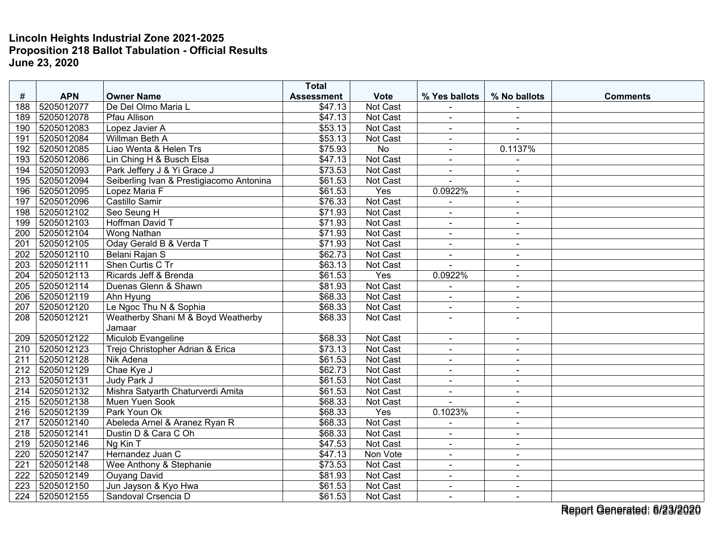|                  |            |                                          | <b>Total</b>      |                 |                          |                          |                 |
|------------------|------------|------------------------------------------|-------------------|-----------------|--------------------------|--------------------------|-----------------|
| #                | <b>APN</b> | <b>Owner Name</b>                        | <b>Assessment</b> | <b>Vote</b>     | % Yes ballots            | % No ballots             | <b>Comments</b> |
| 188              | 5205012077 | De Del Olmo Maria L                      | \$47.13           | Not Cast        |                          |                          |                 |
| 189              | 5205012078 | <b>Pfau Allison</b>                      | \$47.13           | <b>Not Cast</b> | $\blacksquare$           | $\sim$                   |                 |
| 190              | 5205012083 | Lopez Javier A                           | \$53.13           | Not Cast        | $\blacksquare$           |                          |                 |
| 191              | 5205012084 | Willman Beth A                           | \$53.13           | Not Cast        | $\blacksquare$           |                          |                 |
| 192              | 5205012085 | Liao Wenta & Helen Trs                   | \$75.93           | <b>No</b>       | $\overline{a}$           | 0.1137%                  |                 |
| 193              | 5205012086 | Lin Ching H & Busch Elsa                 | \$47.13           | Not Cast        | $\blacksquare$           |                          |                 |
| 194              | 5205012093 | Park Jeffery J & Yi Grace J              | \$73.53           | Not Cast        | $\blacksquare$           | ä,                       |                 |
| 195              | 5205012094 | Seiberling Ivan & Prestigiacomo Antonina | \$61.53           | Not Cast        | $\overline{a}$           | $\sim$                   |                 |
| 196              | 5205012095 | Lopez Maria F                            | \$61.53           | Yes             | 0.0922%                  | $\blacksquare$           |                 |
| 197              | 5205012096 | Castillo Samir                           | \$76.33           | Not Cast        |                          | $\blacksquare$           |                 |
| 198              | 5205012102 | Seo Seung H                              | \$71.93           | <b>Not Cast</b> | $\blacksquare$           | $\blacksquare$           |                 |
| 199              | 5205012103 | Hoffman David T                          | \$71.93           | Not Cast        | $\blacksquare$           | $\blacksquare$           |                 |
| 200              | 5205012104 | Wong Nathan                              | \$71.93           | Not Cast        | $\blacksquare$           | $\sim$                   |                 |
| 201              | 5205012105 | Oday Gerald B & Verda T                  | \$71.93           | Not Cast        |                          | $\sim$                   |                 |
| 202              | 5205012110 | Belani Rajan S                           | \$62.73           | Not Cast        | $\blacksquare$           | $\sim$                   |                 |
| 203              | 5205012111 | Shen Curtis C Tr                         | \$63.13           | Not Cast        | $\overline{a}$           | $\blacksquare$           |                 |
| 204              | 5205012113 | Ricards Jeff & Brenda                    | \$61.53           | Yes             | 0.0922%                  | $\sim$                   |                 |
| 205              | 5205012114 | Duenas Glenn & Shawn                     | \$81.93           | Not Cast        | $\blacksquare$           | $\blacksquare$           |                 |
| 206              | 5205012119 | Ahn Hyung                                | \$68.33           | Not Cast        | $\blacksquare$           | $\sim$                   |                 |
| 207              | 5205012120 | Le Ngoc Thu N & Sophia                   | \$68.33           | Not Cast        | $\blacksquare$           | $\blacksquare$           |                 |
| $\overline{208}$ | 5205012121 | Weatherby Shani M & Boyd Weatherby       | \$68.33           | Not Cast        |                          |                          |                 |
|                  |            | Jamaar                                   |                   |                 |                          |                          |                 |
| 209              | 5205012122 | Miculob Evangeline                       | \$68.33           | Not Cast        | $\blacksquare$           | $\blacksquare$           |                 |
| 210              | 5205012123 | Trejo Christopher Adrian & Erica         | \$73.13           | Not Cast        | $\overline{\phantom{a}}$ | $\overline{\phantom{a}}$ |                 |
| 211              | 5205012128 | Nik Adena                                | \$61.53           | Not Cast        | $\overline{\phantom{a}}$ | $\blacksquare$           |                 |
| 212              | 5205012129 | Chae Kye J                               | \$62.73           | Not Cast        | $\sim$                   | $\sim$                   |                 |
| 213              | 5205012131 | Judy Park J                              | \$61.53           | Not Cast        | $\blacksquare$           | $\sim$                   |                 |
| 214              | 5205012132 | Mishra Satyarth Chaturverdi Amita        | \$61.53           | Not Cast        |                          |                          |                 |
| 215              | 5205012138 | Muen Yuen Sook                           | \$68.33           | Not Cast        | $\overline{a}$           | $\blacksquare$           |                 |
| 216              | 5205012139 | Park Youn Ok                             | \$68.33           | Yes             | 0.1023%                  | $\sim$                   |                 |
| 217              | 5205012140 | Abeleda Arnel & Aranez Ryan R            | \$68.33           | Not Cast        | $\blacksquare$           | $\blacksquare$           |                 |
| $\overline{218}$ | 5205012141 | Dustin D & Cara C Oh                     | \$68.33           | Not Cast        | ÷,                       | $\blacksquare$           |                 |
| 219              | 5205012146 | Ng Kin T                                 | \$47.53           | Not Cast        | $\blacksquare$           | $\sim$                   |                 |
| 220              | 5205012147 | Hernandez Juan C                         | $\sqrt{$47.13}$   | Non Vote        | $\blacksquare$           | $\sim$                   |                 |
| 221              | 5205012148 | Wee Anthony & Stephanie                  | \$73.53           | Not Cast        | $\blacksquare$           | $\sim$                   |                 |
| 222              | 5205012149 | <b>Ouyang David</b>                      | \$81.93           | Not Cast        | $\blacksquare$           | $\blacksquare$           |                 |
| 223              | 5205012150 | Jun Jayson & Kyo Hwa                     | \$61.53           | Not Cast        | $\sim$                   | $\sim$                   |                 |
| 224              | 5205012155 | Sandoval Crsencia D                      | \$61.53           | Not Cast        | $\blacksquare$           | $\blacksquare$           |                 |